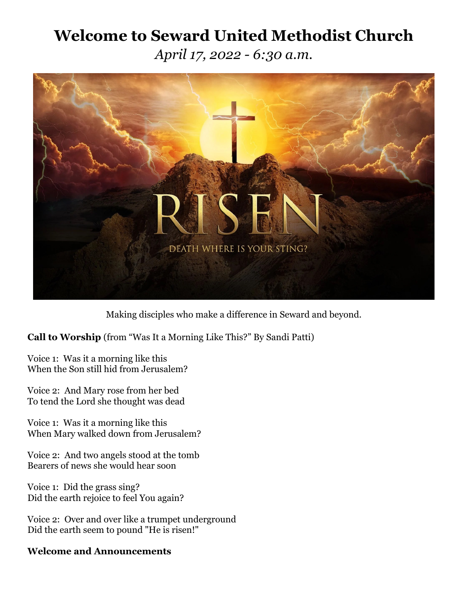# **Welcome to Seward United Methodist Church**

*April 17, 2022 - 6:30 a.m.*



Making disciples who make a difference in Seward and beyond.

**Call to Worship** (from "Was It a Morning Like This?" By Sandi Patti)

Voice 1: Was it a morning like this When the Son still hid from Jerusalem?

Voice 2: And Mary rose from her bed To tend the Lord she thought was dead

Voice 1: Was it a morning like this When Mary walked down from Jerusalem?

Voice 2: And two angels stood at the tomb Bearers of news she would hear soon

Voice 1: Did the grass sing? Did the earth rejoice to feel You again?

Voice 2: Over and over like a trumpet underground Did the earth seem to pound "He is risen!"

### **Welcome and Announcements**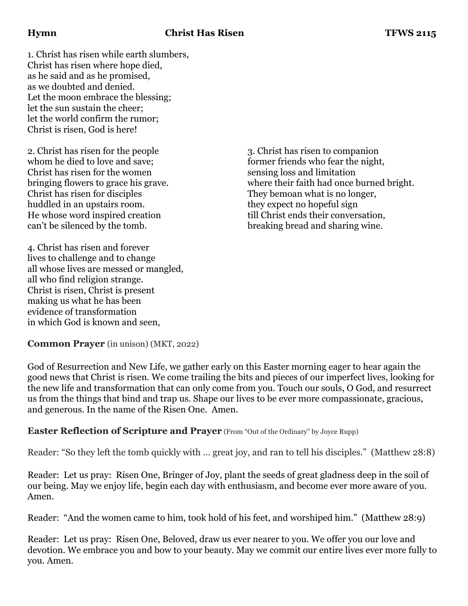1. Christ has risen while earth slumbers, Christ has risen where hope died, as he said and as he promised, as we doubted and denied. Let the moon embrace the blessing; let the sun sustain the cheer; let the world confirm the rumor; Christ is risen, God is here!

2. Christ has risen for the people 3. Christ has risen to companion whom he died to love and save: former friends who fear the night, Christ has risen for the women sensing loss and limitation Christ has risen for disciples They bemoan what is no longer, huddled in an upstairs room. they expect no hopeful sign He whose word inspired creation till Christ ends their conversation, can't be silenced by the tomb. breaking bread and sharing wine.

4. Christ has risen and forever lives to challenge and to change all whose lives are messed or mangled, all who find religion strange. Christ is risen, Christ is present making us what he has been evidence of transformation in which God is known and seen,

bringing flowers to grace his grave. where their faith had once burned bright.

**Common Prayer** (in unison) (MKT, 2022)

God of Resurrection and New Life, we gather early on this Easter morning eager to hear again the good news that Christ is risen. We come trailing the bits and pieces of our imperfect lives, looking for the new life and transformation that can only come from you. Touch our souls, O God, and resurrect us from the things that bind and trap us. Shape our lives to be ever more compassionate, gracious, and generous. In the name of the Risen One. Amen.

### **Easter Reflection of Scripture and Prayer** (From "Out of the Ordinary" by Joyce Rupp)

Reader: "So they left the tomb quickly with … great joy, and ran to tell his disciples." (Matthew 28:8)

Reader: Let us pray: Risen One, Bringer of Joy, plant the seeds of great gladness deep in the soil of our being. May we enjoy life, begin each day with enthusiasm, and become ever more aware of you. Amen.

Reader: "And the women came to him, took hold of his feet, and worshiped him." (Matthew 28:9)

Reader: Let us pray: Risen One, Beloved, draw us ever nearer to you. We offer you our love and devotion. We embrace you and bow to your beauty. May we commit our entire lives ever more fully to you. Amen.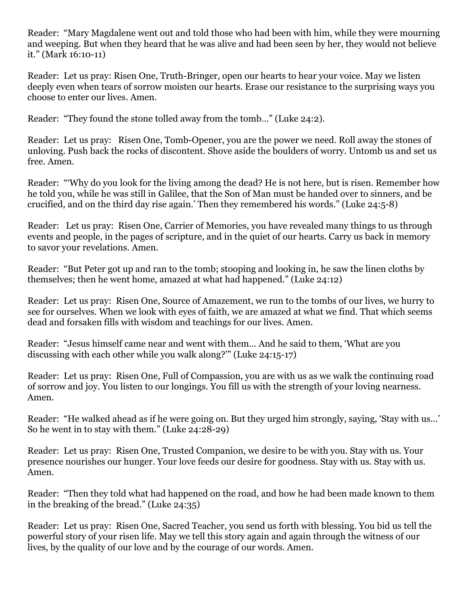Reader: "Mary Magdalene went out and told those who had been with him, while they were mourning and weeping. But when they heard that he was alive and had been seen by her, they would not believe it." (Mark 16:10-11)

Reader: Let us pray: Risen One, Truth-Bringer, open our hearts to hear your voice. May we listen deeply even when tears of sorrow moisten our hearts. Erase our resistance to the surprising ways you choose to enter our lives. Amen.

Reader: "They found the stone tolled away from the tomb…" (Luke 24:2).

Reader: Let us pray: Risen One, Tomb-Opener, you are the power we need. Roll away the stones of unloving. Push back the rocks of discontent. Shove aside the boulders of worry. Untomb us and set us free. Amen.

Reader: "'Why do you look for the living among the dead? He is not here, but is risen. Remember how he told you, while he was still in Galilee, that the Son of Man must be handed over to sinners, and be crucified, and on the third day rise again.' Then they remembered his words." (Luke 24:5-8)

Reader: Let us pray: Risen One, Carrier of Memories, you have revealed many things to us through events and people, in the pages of scripture, and in the quiet of our hearts. Carry us back in memory to savor your revelations. Amen.

Reader: "But Peter got up and ran to the tomb; stooping and looking in, he saw the linen cloths by themselves; then he went home, amazed at what had happened." (Luke 24:12)

Reader: Let us pray: Risen One, Source of Amazement, we run to the tombs of our lives, we hurry to see for ourselves. When we look with eyes of faith, we are amazed at what we find. That which seems dead and forsaken fills with wisdom and teachings for our lives. Amen.

Reader: "Jesus himself came near and went with them… And he said to them, 'What are you discussing with each other while you walk along?'" (Luke 24:15-17)

Reader: Let us pray: Risen One, Full of Compassion, you are with us as we walk the continuing road of sorrow and joy. You listen to our longings. You fill us with the strength of your loving nearness. Amen.

Reader: "He walked ahead as if he were going on. But they urged him strongly, saying, 'Stay with us…' So he went in to stay with them." (Luke 24:28-29)

Reader: Let us pray: Risen One, Trusted Companion, we desire to be with you. Stay with us. Your presence nourishes our hunger. Your love feeds our desire for goodness. Stay with us. Stay with us. Amen.

Reader: "Then they told what had happened on the road, and how he had been made known to them in the breaking of the bread." (Luke 24:35)

Reader: Let us pray: Risen One, Sacred Teacher, you send us forth with blessing. You bid us tell the powerful story of your risen life. May we tell this story again and again through the witness of our lives, by the quality of our love and by the courage of our words. Amen.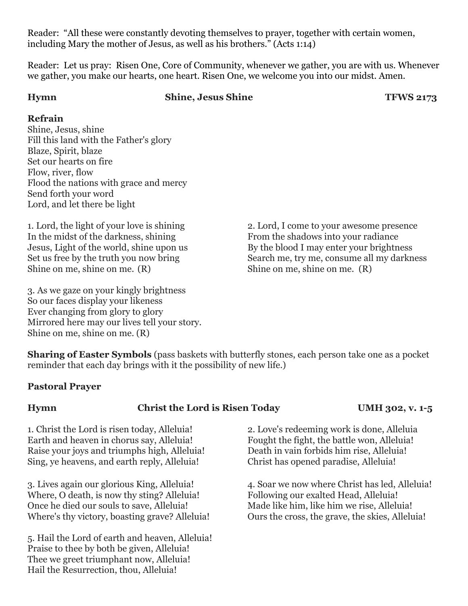Reader: "All these were constantly devoting themselves to prayer, together with certain women, including Mary the mother of Jesus, as well as his brothers." (Acts 1:14)

Reader: Let us pray: Risen One, Core of Community, whenever we gather, you are with us. Whenever we gather, you make our hearts, one heart. Risen One, we welcome you into our midst. Amen.

### **Hymn Shine, Jesus Shine TFWS 2173**

### **Refrain**

Shine, Jesus, shine Fill this land with the Father's glory Blaze, Spirit, blaze Set our hearts on fire Flow, river, flow Flood the nations with grace and mercy Send forth your word Lord, and let there be light

In the midst of the darkness, shining From the shadows into your radiance Shine on me, shine on me. (R) Shine on me, shine on me. (R)

3. As we gaze on your kingly brightness So our faces display your likeness Ever changing from glory to glory Mirrored here may our lives tell your story. Shine on me, shine on me. (R)

1. Lord, the light of your love is shining 2. Lord, I come to your awesome presence Jesus, Light of the world, shine upon us By the blood I may enter your brightness Set us free by the truth you now bring Search me, try me, consume all my darkness

**Sharing of Easter Symbols** (pass baskets with butterfly stones, each person take one as a pocket reminder that each day brings with it the possibility of new life.)

### **Pastoral Prayer**

### **Hymn Christ the Lord is Risen Today UMH 302, v. 1-5**

1. Christ the Lord is risen today, Alleluia! 2. Love's redeeming work is done, Alleluia Earth and heaven in chorus say, Alleluia! Fought the fight, the battle won, Alleluia! Raise your joys and triumphs high, Alleluia! Death in vain forbids him rise, Alleluia! Sing, ye heavens, and earth reply, Alleluia! Christ has opened paradise, Alleluia!

Where, O death, is now thy sting? Alleluia! Following our exalted Head, Alleluia! Once he died our souls to save, Alleluia! Made like him, like him we rise, Alleluia! Where's thy victory, boasting grave? Alleluia! Ours the cross, the grave, the skies, Alleluia!

5. Hail the Lord of earth and heaven, Alleluia! Praise to thee by both be given, Alleluia! Thee we greet triumphant now, Alleluia! Hail the Resurrection, thou, Alleluia!

3. Lives again our glorious King, Alleluia! 4. Soar we now where Christ has led, Alleluia!